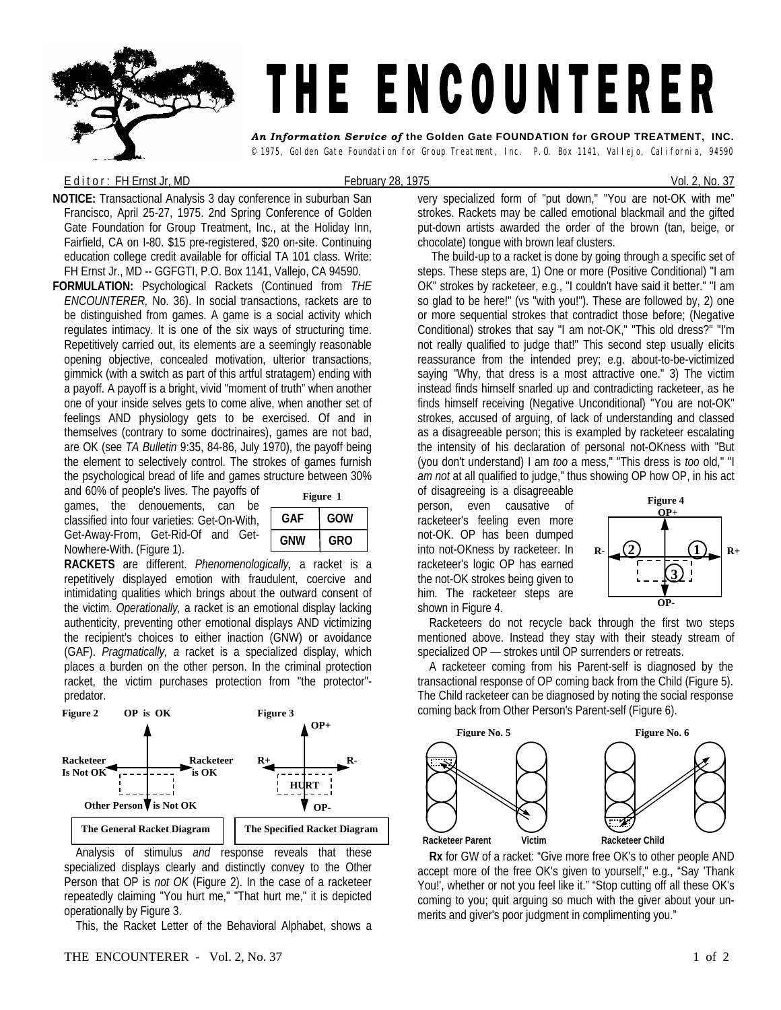## THE ENCOUNTERER *An Information Service of* **the Golden Gate FOUNDATION for GROUP TREATMENT, INC.**

© 1975, Golden Gate Foundation for Group Treatment, Inc. P.O. Box 1141, Vallejo, California, 94590

## E d it or : FH Ernst Jr, MD **February 28, 1975** Contract Contract Contract Contract Contract Contract Contract Contract Contract Contract Contract Contract Contract Contract Contract Contract Contract Contract Contract Con

**NOTICE:** Transactional Analysis 3 day conference in suburban San Francisco, April 25-27, 1975. 2nd Spring Conference of Golden Gate Foundation for Group Treatment, Inc., at the Holiday Inn, Fairfield, CA on I-80. \$15 pre-registered, \$20 on-site. Continuing education college credit available for official TA 101 class. Write: FH Ernst Jr., MD -- GGFGTI, P.O. Box 1141, Vallejo, CA 94590.

**FORMULATION:** Psychological Rackets (Continued from *THE ENCOUNTERER,* No. 36). In social transactions, rackets are to be distinguished from games. A game is a social activity which regulates intimacy. It is one of the six ways of structuring time. Repetitively carried out, its elements are a seemingly reasonable opening objective, concealed motivation, ulterior transactions, gimmick (with a switch as part of this artful stratagem) ending with a payoff. A payoff is a bright, vivid "moment of truth" when another one of your inside selves gets to come alive, when another set of feelings AND physiology gets to be exercised. Of and in themselves (contrary to some doctrinaires), games are not bad, are OK (see *TA Bulletin* 9:35, 84-86, July 1970), the payoff being the element to selectively control. The strokes of games furnish the psychological bread of life and games structure between 30%

and 60% of people's lives. The payoffs of games, the denouements, can be classified into four varieties: Get-On-With, Get-Away-From, Get-Rid-Of and Get-Nowhere-With. (Figure 1).

| Figure 1   |     |  |  |  |
|------------|-----|--|--|--|
| GAF        | GOW |  |  |  |
| <b>GNW</b> | GRO |  |  |  |

**RACKETS** are different. *Phenomenologically,* a racket is a repetitively displayed emotion with fraudulent, coercive and intimidating qualities which brings about the outward consent of the victim. *Operationally,* a racket is an emotional display lacking authenticity, preventing other emotional displays AND victimizing the recipient's choices to either inaction (GNW) or avoidance (GAF). *Pragmatically, a* racket is a specialized display, which places a burden on the other person. In the criminal protection racket, the victim purchases protection from "the protector" predator.



 Analysis of stimulus *and* response reveals that these specialized displays clearly and distinctly convey to the Other Person that OP is *not OK* (Figure 2). In the case of a racketeer repeatedly claiming "You hurt me," "That hurt me," it is depicted operationally by Figure 3.

This, the Racket Letter of the Behavioral Alphabet, shows a

very specialized form of "put down," "You are not-OK with me" strokes. Rackets may be called emotional blackmail and the gifted put-down artists awarded the order of the brown (tan, beige, or chocolate) tongue with brown leaf clusters.

The build-up to a racket is done by going through a specific set of steps. These steps are, 1) One or more (Positive Conditional) "I am OK" strokes by racketeer, e.g., "I couldn't have said it better." "I am so glad to be here!" (vs "with you!"). These are followed by, 2) one or more sequential strokes that contradict those before; (Negative Conditional) strokes that say "I am not-OK," "This old dress?" "I'm not really qualified to judge that!" This second step usually elicits reassurance from the intended prey; e.g. about-to-be-victimized saying "Why, that dress is a most attractive one." 3) The victim instead finds himself snarled up and contradicting racketeer, as he finds himself receiving (Negative Unconditional) "You are not-OK" strokes, accused of arguing, of lack of understanding and classed as a disagreeable person; this is exampled by racketeer escalating the intensity of his declaration of personal not-OKness with "But (you don't understand) I am *too* a mess," "This dress is *too* old," "I *am not* at all qualified to judge," thus showing OP how OP, in his act

of disagreeing is a disagreeable person, even causative of racketeer's feeling even more not-OK. OP has been dumped into not-OKness by racketeer. In racketeer's logic OP has earned the not-OK strokes being given to him. The racketeer steps are shown in Figure 4.



 Racketeers do not recycle back through the first two steps mentioned above. Instead they stay with their steady stream of specialized OP — strokes until OP surrenders or retreats.

 A racketeer coming from his Parent-self is diagnosed by the transactional response of OP coming back from the Child (Figure 5). The Child racketeer can be diagnosed by noting the social response coming back from Other Person's Parent-self (Figure 6).



 **Rx** for GW of a racket: "Give more free OK's to other people AND accept more of the free OK's given to yourself," e.g., "Say 'Thank You!', whether or not you feel like it." "Stop cutting off all these OK's coming to you; quit arguing so much with the giver about your unmerits and giver's poor judgment in complimenting you."